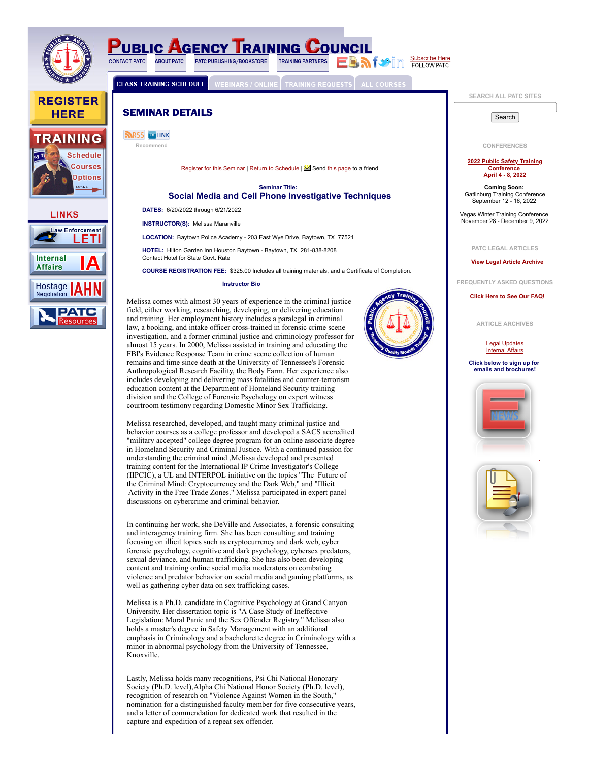

**REGISTER** 

**HERE** 





**PUBLIC AGENCY TRAINING COUNC BAfor** in Subscribe Here! **CONTACT PATC ABOUT PATC** PATC PUBLISHING/BOOKSTORE **TRAINING PARTNERS** 

**CLASS TRAINING SCHEDULE** 

**SEMINAR DETAILS** 



[Register for this Seminar](https://www.patc.com/training/register.php?ID=18817) | [Return to Schedule](https://www.patc.com/training/schedule.php) | Send [this page](mailto:?body=Take%20a%20look%20at%20this%20page%20I%20found,%20Social%20Media%20and%20Cell%20Phone%20Investigative%20Techniques%C2%A0Training%C2%A0-%C2%A0Baytown,%20TX.%20You%20can%20see%20this%20page%20at:%20https://www.patc.com/training/detail.php?ID=18817) to a friend

#### **Seminar Title: Social Media and Cell Phone Investigative Techniques**

**DATES:** 6/20/2022 through 6/21/2022

**INSTRUCTOR(S):** Melissa Maranville

**LOCATION:** Baytown Police Academy - 203 East Wye Drive, Baytown, TX 77521

**HOTEL:** Hilton Garden Inn Houston Baytown - Baytown, TX 281-838-8208 Contact Hotel for State Govt. Rate

**COURSE REGISTRATION FEE:** \$325.00 Includes all training materials, and a Certificate of Completion.

**Instructor Bio** Melissa comes with almost 30 years of experience in the criminal justice

field, either working, researching, developing, or delivering education and training. Her employment history includes a paralegal in criminal law, a booking, and intake officer cross-trained in forensic crime scene investigation, and a former criminal justice and criminology professor for almost 15 years. In 2000, Melissa assisted in training and educating the FBI's Evidence Response Team in crime scene collection of human remains and time since death at the University of Tennessee's Forensic Anthropological Research Facility, the Body Farm. Her experience also includes developing and delivering mass fatalities and counter-terrorism education content at the Department of Homeland Security training division and the College of Forensic Psychology on expert witness courtroom testimony regarding Domestic Minor Sex Trafficking.

Melissa researched, developed, and taught many criminal justice and behavior courses as a college professor and developed a SACS accredited "military accepted" college degree program for an online associate degree in Homeland Security and Criminal Justice. With a continued passion for understanding the criminal mind ,Melissa developed and presented training content for the International IP Crime Investigator's College (IIPCIC), a UL and INTERPOL initiative on the topics "The Future of the Criminal Mind: Cryptocurrency and the Dark Web," and "Illicit Activity in the Free Trade Zones." Melissa participated in expert panel discussions on cybercrime and criminal behavior.

In continuing her work, she DeVille and Associates, a forensic consulting and interagency training firm. She has been consulting and training focusing on illicit topics such as cryptocurrency and dark web, cyber forensic psychology, cognitive and dark psychology, cybersex predators, sexual deviance, and human trafficking. She has also been developing content and training online social media moderators on combating violence and predator behavior on social media and gaming platforms, as well as gathering cyber data on sex trafficking cases.

Melissa is a Ph.D. candidate in Cognitive Psychology at Grand Canyon University. Her dissertation topic is "A Case Study of Ineffective Legislation: Moral Panic and the Sex Offender Registry." Melissa also holds a master's degree in Safety Management with an additional emphasis in Criminology and a bachelorette degree in Criminology with a minor in abnormal psychology from the University of Tennessee, Knoxville.

Lastly, Melissa holds many recognitions, Psi Chi National Honorary Society (Ph.D. level),Alpha Chi National Honor Society (Ph.D. level), recognition of research on "Violence Against Women in the South," nomination for a distinguished faculty member for five consecutive years, and a letter of commendation for dedicated work that resulted in the capture and expedition of a repeat sex offender.

**SEARCH ALL PATC SITES**

**Search** 

**CONFERENCES**

#### **[2022 Public Safety Training](http://www.patc.com/training/schedule.php?stateActiveSubject=&Location_State=NV&stateActiveMonth=¤tQuery=Search+Seminar+Schedule%21) Conference April 4 - 8, 2022**

**Coming Soon:** Gatlinburg Training Conference September 12 - 16, 2022

Vegas Winter Training Conference November 28 - December 9, 2022

## **PATC LEGAL ARTICLES**

**[View Legal Article Archive](http://www.patc.com/weeklyarticles/legalindex.shtml)**

**FREQUENTLY ASKED QUESTIONS**

**[Click Here to See Our FAQ!](http://www.patc.com/indexfaq.shtml)**

**ARTICLE ARCHIVES**

[Legal Updates](http://www.patc.com/weeklyarticles/legalindex.shtml) [Internal Affairs](http://ia.patc.com/resources.shtml)

**Click below to sign up for emails and brochures!**